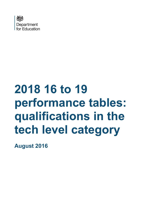

# **2018 16 to 19 performance tables: qualifications in the tech level category**

**August 2016**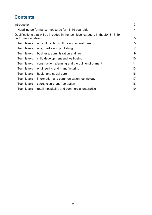## **Contents**

<span id="page-1-0"></span>

| Introduction                                                                                            | 3  |
|---------------------------------------------------------------------------------------------------------|----|
| Headline performance measures for 16-19 year olds                                                       | 4  |
| Qualifications that will be included in the tech level category in the 2018 16-19<br>performance tables | 5  |
| Tech levels in agriculture, horticulture and animal care                                                | 5  |
| Tech levels in arts, media and publishing                                                               | 7  |
| Tech levels in business, administration and law                                                         | 9  |
| Tech levels in child development and well-being                                                         | 10 |
| Tech levels in construction, planning and the built environment                                         | 11 |
| Tech levels in engineering and manufacturing                                                            | 13 |
| Tech levels in health and social care                                                                   | 16 |
| Tech levels in information and communication technology                                                 | 17 |
| Tech levels in sport, leisure and recreation                                                            | 18 |
| Tech levels in retail, hospitality and commercial enterprise                                            | 19 |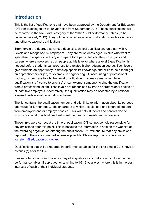## <span id="page-2-0"></span>**Introduction**

This is the list of qualifications that have been approved by the Department for Education (DfE) for teaching to 16 to 19 year olds from September 2016. These qualifications will be reported in the **tech level** category of the 2018 16-19 performance tables (to be published in early 2019). They will be reported alongside qualifications such as A Levels and other vocational qualifications.

**Tech levels** are rigorous advanced (level 3) technical qualifications on a par with A Levels and recognised by employers. They are for students aged 16 plus who want to specialise in a specific industry or prepare for a particular job. They cover jobs and careers where employers recruit people at this level or where a level 3 qualification is needed before students can progress to a related higher education course. Tech levels give students an opportunity to develop specialist knowledge and skills to help them get an apprenticeship or job, for example in engineering, IT, accounting or professional cookery, or progress to a higher level qualification. In some cases, a tech level qualification is a 'licence to practise' or can exempt someone holding the qualification from a professional exam. Tech levels are recognised by trade or professional bodies or at least five employers. Alternatively, the qualification may be accepted by a national licensed professional registration scheme.

The list contains the qualification number and title, links to information about its purpose and value for further study, jobs or careers to which it could lead and letters of support from employers and/or employer bodies. This will help students and parents decide which vocational qualifications best meet their learning needs and aspirations.

These links were correct at the time of publication. DfE cannot be held responsible for any omissions after this point. This is because the information is held on the website of the awarding organisation offering the qualification. DfE will ensure that any omissions reported to them are corrected wherever possible. Please report any omissions to: [vq.reform@education.gsi.gov.uk](mailto:vq.reform@education.gsi.gov.uk)

Qualifications that will be reported in performance tables for the first time in 2018 have an asterisk (\*) after the title.

Please note: schools and colleges may offer qualifications that are not included in the performance tables, if approved for teaching to 16-19 year olds, where this is in the best interests of each of their individual students.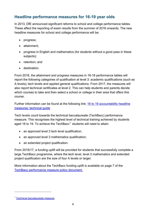#### <span id="page-3-0"></span>**Headline performance measures for 16-19 year olds**

In 2013, DfE announced significant reforms to school and college performance tables. These affect the reporting of exam results from the summer of 2016 onwards. The new headline measures for school and college performance will be:

- progress;
- attainment;
- progress in English and mathematics (for students without a good pass in these subjects);
- retention; and
- destination.

From 2016, the attainment and progress measures in 16-18 performance tables will report the following categories of qualification at level 3: academic qualifications (such as A levels); tech levels and applied general qualifications. From 2017, the measures will also report technical certificates at level 2. This can help students and parents decide which courses to take and then select a school or college in their area that offers this course.

Further information can be found at the following link: 16 to 19 accountability headline [measures: technical guide](https://www.gov.uk/government/publications/16-to-19-accountability-headline-measures-technical-guide)

Tech levels count towards the technical baccalaureate (TechBacc) performance measure. This recognises the highest level of technical training achieved by students aged [1](#page-1-0)6 to 19. To achieve the TechBacc<sup>1,</sup> students will need to attain:

- an approved level 3 tech level qualification;
- an approved level 3 mathematics qualification;
- an extended project qualification.

From 2016/17, a funding uplift will be provided for students that successfully complete a large TechBacc programme, where the tech level, level 3 mathematics and extended project qualification are the size of four A levels or larger.

More information about the TechBacc funding uplift is available on page 7 of the [TechBacc performance measure policy document.](https://www.gov.uk/government/uploads/system/uploads/attachment_data/file/366677/The_Technical_Baccalaureate_performance_table_measure.pdf)

 $\overline{a}$ 

<sup>&</sup>lt;sup>1</sup> [Technical baccalaureate measure](https://www.gov.uk/government/policies/improving-the-quality-of-further-education-and-skills-training/supporting-pages/technical-baccalaureate-measure)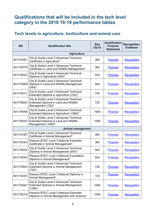## <span id="page-4-0"></span>**Qualifications that will be included in the tech level category in the 2018 16-19 performance tables**

### <span id="page-4-1"></span>**Tech levels in agriculture, horticulture and animal care**

| QN         | <b>Qualification title</b>                                                                              | <b>Size</b><br>(GLH) | Qualification<br><b>Purpose</b><br><b>Statement</b> | <b>Recognition</b><br><b>Evidence</b> |
|------------|---------------------------------------------------------------------------------------------------------|----------------------|-----------------------------------------------------|---------------------------------------|
|            | <b>Agriculture</b>                                                                                      |                      |                                                     |                                       |
| 601/7448/1 | City & Guilds Level 3 Advanced Technical<br>Certificate in Agriculture*                                 | 360                  | <b>Purpose</b>                                      | Recognition                           |
| 601/7557/6 | City & Guilds Level 3 Advanced Technical<br>Certificate in Land and Wildlife Management*                | 360                  | <b>Purpose</b>                                      | <b>Recognition</b>                    |
| 601/7452/3 | City & Guilds Level 3 Advanced Technical<br>Diploma in Agriculture (540)*                               | 540                  | <b>Purpose</b>                                      | Recognition                           |
| 601/7558/8 | City & Guilds Level 3 Advanced Technical<br>Diploma in Land and Wildlife Management<br>$(540)^*$        | 540                  | <b>Purpose</b>                                      | Recognition                           |
| 601/7451/1 | City & Guilds Level 3 Advanced Technical<br>Extended Diploma in Agriculture (720)*                      | 720                  | <b>Purpose</b>                                      | Recognition                           |
| 601/7565/5 | City & Guilds Level 3 Advanced Technical<br>Extended Diploma in Land and Wildlife<br>Management (720)*  | 720                  | <b>Purpose</b>                                      | Recognition                           |
| 601/7459/6 | City & Guilds Level 3 Advanced Technical<br>Extended Diploma in Agriculture (1080)*                     | 1080                 | <b>Purpose</b>                                      | <b>Recognition</b>                    |
| 601/7564/3 | City & Guilds Level 3 Advanced Technical<br>Extended Diploma in Land and Wildlife<br>Management (1080)* | 1080                 | <b>Purpose</b>                                      | <b>Recognition</b>                    |
|            | <b>Animal management</b>                                                                                |                      |                                                     |                                       |
| 601/7518/7 | City & Guilds Level 3 Advanced Technical<br>Certificate in Animal Management*                           | 360                  | <b>Purpose</b>                                      | Recognition                           |
| 601/7524/2 | Pearson BTEC Level 3 National Extended<br>Certificate in Animal Management*                             | 360                  | <b>Purpose</b>                                      | Recognition                           |
| 601/7520/5 | City & Guilds Level 3 Advanced Technical<br>Diploma in Animal Management (540)*                         | 540                  | <b>Purpose</b>                                      | <b>Recognition</b>                    |
| 601/7525/4 | Pearson BTEC Level 3 National Foundation<br>Diploma in Animal Management*                               | 540                  | <b>Purpose</b>                                      | Recognition                           |
| 601/7550/3 | City & Guilds Level 3 Advanced Technical<br>Extended Diploma in Animal Management<br>$(720)^*$          | 720                  | <b>Purpose</b>                                      | Recognition                           |
| 601/7523/0 | Pearson BTEC Level 3 National Diploma in<br>Animal Management*                                          | 720                  | <b>Purpose</b>                                      | Recognition                           |
| 601/7549/7 | City & Guilds Level 3 Advanced Technical<br>Extended Diploma in Animal Management<br>$(1080)^*$         | 1080                 | <b>Purpose</b>                                      | <b>Recognition</b>                    |
| 601/7527/8 | Pearson BTEC Level 3 National Extended<br>Diploma in Animal Management with Science*                    | 1080                 | <b>Purpose</b>                                      | Recognition                           |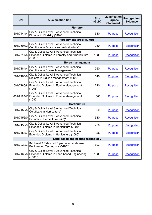| QN         | <b>Qualification title</b>                                                                               | <b>Size</b><br>(GLH) | Qualification<br><b>Purpose</b><br><b>Statement</b> | <b>Recognition</b><br><b>Evidence</b> |
|------------|----------------------------------------------------------------------------------------------------------|----------------------|-----------------------------------------------------|---------------------------------------|
|            | <b>Floristry</b>                                                                                         |                      |                                                     |                                       |
| 601/7444/4 | City & Guilds Level 3 Advanced Technical<br>Diploma in Floristry (540)*                                  | 540                  | <b>Purpose</b>                                      | Recognition                           |
|            | <b>Forestry and arboriculture</b>                                                                        |                      |                                                     |                                       |
| 601/7507/2 | City & Guilds Level 3 Advanced Technical<br>Certificate in Forestry and Arboriculture*                   | 360                  | <b>Purpose</b>                                      | <b>Recognition</b>                    |
| 601/7517/5 | City & Guilds Level 3 Advanced Technical<br>Extended Diploma in Forestry and Arboriculture<br>$(1080)^*$ | 1080                 | <b>Purpose</b>                                      | Recognition                           |
|            | <b>Horse management</b>                                                                                  |                      |                                                     |                                       |
| 601/7184/4 | City & Guilds Level 3 Advanced Technical<br>Certificate in Equine Management*                            | 360                  | <b>Purpose</b>                                      | Recognition                           |
| 601/7185/6 | City & Guilds Level 3 Advanced Technical<br>Diploma in Equine Management (540)*                          | 540                  | <b>Purpose</b>                                      | <b>Recognition</b>                    |
| 601/7186/8 | City & Guilds Level 3 Advanced Technical<br>Extended Diploma in Equine Management<br>$(720)^*$           | 720                  | <b>Purpose</b>                                      | Recognition                           |
| 601/7187/X | City & Guilds Level 3 Advanced Technical<br>Extended Diploma in Equine Management<br>$(1080)^*$          | 1080                 | <b>Purpose</b>                                      | Recognition                           |
|            | <b>Horticulture</b>                                                                                      |                      |                                                     |                                       |
| 601/7453/5 | City & Guilds Level 3 Advanced Technical<br>Certificate in Horticulture*                                 | 360                  | <b>Purpose</b>                                      | Recognition                           |
| 601/7456/0 | City & Guilds Level 3 Advanced Technical<br>Diploma in Horticulture (540)*                               | 540                  | <b>Purpose</b>                                      | Recognition                           |
| 601/7455/9 | City & Guilds Level 3 Advanced Technical<br>Extended Diploma in Horticulture (720)*                      | 720                  | <b>Purpose</b>                                      | <b>Recognition</b>                    |
| 601/7454/7 | City & Guilds Level 3 Advanced Technical<br>Extended Diploma in Horticulture (1080)*                     | 1080                 | <b>Purpose</b>                                      | Recognition                           |
|            | Land-based engineering technology                                                                        |                      |                                                     |                                       |
| 601/7239/3 | IMI Level 3 Extended Diploma in Land-based<br>Engineering Technology (VRQ)*                              | 693                  | <b>Purpose</b>                                      | Recognition                           |
| 601/7463/8 | City & Guilds Level 3 Advanced Technical<br>Extended Diploma in Land-based Engineering<br>$(1080)^*$     | 1080                 | <b>Purpose</b>                                      | Recognition                           |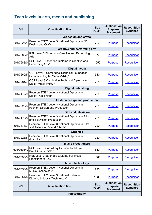## <span id="page-6-0"></span>**Tech levels in arts, media and publishing**

| QN                                   | <b>Qualification title</b>                                                           | <b>Size</b><br>(GLH) | Qualification<br><b>Purpose</b><br><b>Statement</b> | <b>Recognition</b><br><b>Evidence</b> |
|--------------------------------------|--------------------------------------------------------------------------------------|----------------------|-----------------------------------------------------|---------------------------------------|
|                                      | 3D design and crafts                                                                 |                      |                                                     |                                       |
| 601/7224/1                           | Pearson BTEC Level 3 National Diploma in 3D<br>Design and Crafts*                    | 720                  | <b>Purpose</b>                                      | Recognition                           |
| <b>Creative and performing arts</b>  |                                                                                      |                      |                                                     |                                       |
| 601/7682/9                           | RSL Level 3 Diploma in Creative and Performing<br>Arts*                              | 570                  | <b>Purpose</b>                                      | <b>Recognition</b>                    |
| 601/7683/0                           | RSL Level 3 Extended Diploma in Creative and<br>Performing Arts*                     | 1050                 | <b>Purpose</b>                                      | Recognition                           |
|                                      | <b>Digital media</b>                                                                 |                      |                                                     |                                       |
| 601/7260/5                           | <b>OCR Level 3 Cambridge Technical Foundation</b><br>Diploma in Digital Media (VRQ)* | 540                  | <b>Purpose</b>                                      | Recognition                           |
| 601/7261/7                           | OCR Level 3 Cambridge Technical Diploma in<br>Digital Media (VRQ)*                   | 720                  | <b>Purpose</b>                                      | Recognition                           |
|                                      | <b>Digital publishing</b>                                                            |                      |                                                     |                                       |
| 601/7472/9                           | Pearson BTEC Level 3 National Diploma in<br>Digital Publishing*                      | 720                  | <b>Purpose</b>                                      | Recognition                           |
| <b>Fashion design and production</b> |                                                                                      |                      |                                                     |                                       |
| 601/7225/3                           | Pearson BTEC Level 3 National Diploma in<br>Fashion Design and Production*           | 720                  | <b>Purpose</b>                                      | Recognition                           |
|                                      | <b>Film and television</b>                                                           |                      |                                                     |                                       |
| 601/7470/5                           | Pearson BTEC Level 3 National Diploma in Film<br>and Television Production*          | 720                  | <b>Purpose</b>                                      | Recognition                           |
| 601/7471/7                           | Pearson BTEC Level 3 National Diploma in Film<br>and Television Visual Effects*      | 720                  | <b>Purpose</b>                                      | Recognition                           |
|                                      | <b>Graphics</b>                                                                      |                      |                                                     |                                       |
| 601/7226/5                           | Pearson BTEC Level 3 National Diploma in<br>Graphics*                                | 720                  | <b>Purpose</b>                                      | Recognition                           |
|                                      | <b>Music practitioners</b>                                                           |                      |                                                     |                                       |
| 601/7691/X                           | RSL Level 3 Subsidiary Diploma for Music<br>Practitioners (QCF)*                     | 540                  | <b>Purpose</b>                                      | Recognition                           |
| 601/7693/3                           | RSL Level 3 Extended Diploma For Music<br>Practitioners (QCF)*                       | 1080                 | <b>Purpose</b>                                      | Recognition                           |
|                                      | <b>Music technology</b>                                                              |                      |                                                     |                                       |
| 601/7350/6                           | Pearson BTEC Level 3 National Diploma in<br>Music Technology*                        | 720                  | <b>Purpose</b>                                      | Recognition                           |
| 601/7351/8                           | Pearson BTEC Level 3 National Extended<br>Diploma in Music Technology*               | 1080                 | <b>Purpose</b>                                      | Recognition                           |
| QN                                   | <b>Qualification title</b>                                                           | <b>Size</b><br>(GLH) | Qualification<br><b>Purpose</b><br><b>Statement</b> | <b>Recognition</b><br><b>Evidence</b> |
| Photography                          |                                                                                      |                      |                                                     |                                       |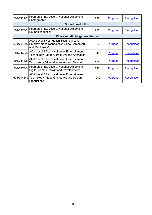| 601/7227/7                     | Pearson BTEC Level 3 National Diploma in<br>Photography*                                                             | 720  | <b>Purpose</b> | Recognition        |
|--------------------------------|----------------------------------------------------------------------------------------------------------------------|------|----------------|--------------------|
|                                | <b>Sound production</b>                                                                                              |      |                |                    |
| 601/7474/2                     | Pearson BTEC Level 3 National Diploma in<br>Sound Production*                                                        | 720  | <b>Purpose</b> | Recognition        |
| Video and digital games design |                                                                                                                      |      |                |                    |
| 601/7139/X                     | <b>AQA Level 3 Foundation Technical Level</b><br>Entertainment Technology: Video Games Art<br>and Mechanics*         | 360  | <b>Purpose</b> | <b>Recognition</b> |
| 601/7140/6                     | <b>AQA Level 3 Technical Level Entertainment</b><br>Technology: Video Games Art and Animation*                       | 540  | <b>Purpose</b> | Recognition        |
| 601/7141/8                     | <b>AQA Level 3 Technical Level Entertainment</b><br>Technology: Video Games Art and Design*                          | 720  | <b>Purpose</b> | Recognition        |
| 601/7473/0                     | Pearson BTEC Level 3 National Diploma in<br>Digital Games Design and Development*                                    | 720  | <b>Purpose</b> | Recognition        |
|                                | <b>AQA Level 3 Technical Level Entertainment</b><br>601/7142/X Technology: Video Games Art and Design<br>Production* | 1080 | <b>Purpose</b> | Recognition        |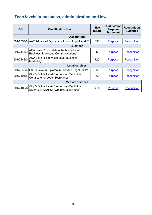## <span id="page-8-0"></span>**Tech levels in business, administration and law**

| QN         | <b>Qualification title</b>                                                           | <b>Size</b><br>(GLH) | Qualification<br><b>Purpose</b><br><b>Statement</b> | <b>Recognition</b><br><b>Evidence</b> |
|------------|--------------------------------------------------------------------------------------|----------------------|-----------------------------------------------------|---------------------------------------|
|            | <b>Accounting</b>                                                                    |                      |                                                     |                                       |
| 601/6554/6 | AAT Advanced Diploma in Accounting - Level 3*                                        | 390                  | <b>Purpose</b>                                      | <b>Recognition</b>                    |
|            | <b>Business</b>                                                                      |                      |                                                     |                                       |
| 601/7147/9 | <b>AQA Level 3 Foundation Technical Level</b><br>Business: Marketing Communications* | 360                  | <b>Purpose</b>                                      | <b>Recognition</b>                    |
| 601/7148/0 | <b>AQA Level 3 Technical Level Business:</b><br>Marketing*                           | 720                  | <b>Purpose</b>                                      | Recognition                           |
|            | <b>Legal services</b>                                                                |                      |                                                     |                                       |
| 601/7248/4 | CILEx Level 3 Diploma in Law and Legal Skills*                                       | 360                  | <b>Purpose</b>                                      | Recognition                           |
| 601/7401/8 | City & Guilds Level 3 Advanced Technical<br>Certificate for Legal Secretaries*       | 360                  | <b>Purpose</b>                                      | Recognition                           |
|            | <b>Medical services</b>                                                              |                      |                                                     |                                       |
| 601/7400/6 | City & Guilds Level 3 Advanced Technical<br>Diploma in Medical Administration (450)* | 450                  | <b>Purpose</b>                                      | Recognition                           |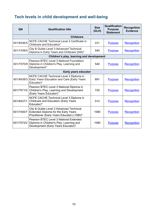## <span id="page-9-0"></span>**Tech levels in child development and well-being**

| QN                   | <b>Qualification title</b>                                                                                                      | <b>Size</b><br>(GLH) | Qualification<br><b>Purpose</b><br><b>Statement</b> | <b>Recognition</b><br><b>Evidence</b> |
|----------------------|---------------------------------------------------------------------------------------------------------------------------------|----------------------|-----------------------------------------------------|---------------------------------------|
|                      | <b>Childcare</b>                                                                                                                |                      |                                                     |                                       |
| 601/8436/X           | NCFE CACHE Technical Level 3 Certificate in<br>Childcare and Education*                                                         | 431                  | <b>Purpose</b>                                      | <b>Recognition</b>                    |
| 601/7439/0           | City & Guilds Level 3 Advanced Technical<br>Diploma in Early Years and Childcare (540)*                                         | 540                  | <b>Purpose</b>                                      | <b>Recognition</b>                    |
|                      | Children's play, learning and development                                                                                       |                      |                                                     |                                       |
| 601/7570/9           | Pearson BTEC Level 3 National Foundation<br>Diploma in Children's Play, Learning and<br>Development*                            | 540                  | <b>Purpose</b>                                      | Recognition                           |
| Early years educator |                                                                                                                                 |                      |                                                     |                                       |
| 601/8438/3           | NCFE CACHE Technical Level 3 Diploma in<br>Early Years Education and Care (Early Years<br>Educator)*                            | 691                  | <b>Purpose</b>                                      | Recognition                           |
| 601/7571/0           | Pearson BTEC Level 3 National Diploma in<br>Children's Play, Learning and Development<br>(Early Years Educator)*                | 720                  | <b>Purpose</b>                                      | <b>Recognition</b>                    |
| 601/8437/1           | NCFE CACHE Technical Level 3 Diploma in<br><b>Childcare and Education (Early Years</b><br>Educator)*                            | 914                  | <b>Purpose</b>                                      | <b>Recognition</b>                    |
| 601/7440/7           | City & Guilds Level 3 Advanced Technical<br>Extended Diploma for the Early Years<br>Practitioner (Early Years Educator) (1080)* | 1080                 | <b>Purpose</b>                                      | Recognition                           |
| 601/7572/2           | Pearson BTEC Level 3 National Extended<br>Diploma in Children's Play, Learning and<br>Development (Early Years Educator)*       | 1080                 | <b>Purpose</b>                                      | <b>Recognition</b>                    |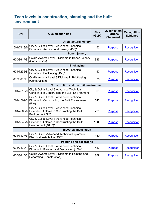#### <span id="page-10-0"></span>**Tech levels in construction, planning and the built environment**

| QN         | <b>Qualification title</b>                                                                                    | <b>Size</b><br>(GLH) | Qualification<br><b>Purpose</b><br><b>Statement</b> | <b>Recognition</b><br><b>Evidence</b> |
|------------|---------------------------------------------------------------------------------------------------------------|----------------------|-----------------------------------------------------|---------------------------------------|
|            | <b>Architectural joinery</b>                                                                                  |                      |                                                     |                                       |
| 601/7419/5 | City & Guilds Level 3 Advanced Technical<br>Diploma in Architectural Joinery (450)*                           | 450                  | <b>Purpose</b>                                      | <b>Recognition</b>                    |
|            | <b>Bench joinery</b>                                                                                          |                      |                                                     |                                       |
| 600/8617/8 | Cskills Awards Level 3 Diploma in Bench Joinery<br>(Construction)                                             | 885                  | <b>Purpose</b>                                      | Recognition                           |
|            | <b>Bricklaying</b>                                                                                            |                      |                                                     |                                       |
| 601/7236/8 | City & Guilds Level 3 Advanced Technical<br>Diploma in Bricklaying (450)*                                     | 450                  | <b>Purpose</b>                                      | Recognition                           |
| 600/8607/5 | Cskills Awards Level 3 Diploma in Bricklaying<br>(Construction)                                               | 675                  | <b>Purpose</b>                                      | <b>Recognition</b>                    |
|            | <b>Construction and the built environment</b>                                                                 |                      |                                                     |                                       |
| 601/4510/9 | City & Guilds Level 3 Advanced Technical<br>Certificate in Constructing the Built Environment                 | 360                  | <b>Purpose</b>                                      | <b>Recognition</b>                    |
| 601/4509/2 | City & Guilds Level 3 Advanced Technical<br>Diploma in Constructing the Built Environment<br>(540)            | 540                  | <b>Purpose</b>                                      | Recognition                           |
| 601/4508/0 | City & Guilds Level 3 Advanced Technical<br>Extended Diploma in Constructing the Built<br>Environment (720)   | 720                  | <b>Purpose</b>                                      | <b>Recognition</b>                    |
| 601/5640/5 | City & Guilds Level 3 Advanced Technical<br>Extended Diploma in Constructing the Built<br>Environment (1080)* | 1080                 | <b>Purpose</b>                                      | <b>Recognition</b>                    |
|            | <b>Electrical installation</b>                                                                                |                      |                                                     |                                       |
| 601/7307/5 | City & Guilds Advanced Technical Diploma in<br>Electrical Installation (450)*                                 | 450                  | <b>Purpose</b>                                      | <b>Recognition</b>                    |
|            | <b>Painting and decorating</b>                                                                                |                      |                                                     |                                       |
| 601/7420/1 | City & Guilds Level 3 Advanced Technical<br>Diploma in Painting and Decorating (450)*                         | 450                  | <b>Purpose</b>                                      | <b>Recognition</b>                    |
| 600/8610/5 | Cskills Awards Level 3 Diploma in Painting and<br>Decorating (Construction)                                   | 869                  | <b>Purpose</b>                                      | Recognition                           |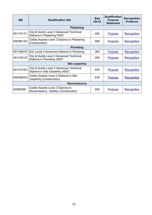| QN         | <b>Qualification title</b>                                                   | <b>Size</b><br>(GLH) | <b>Qualification</b><br><b>Purpose</b><br><b>Statement</b> | <b>Recognition</b><br><b>Evidence</b> |
|------------|------------------------------------------------------------------------------|----------------------|------------------------------------------------------------|---------------------------------------|
|            | <b>Plastering</b>                                                            |                      |                                                            |                                       |
| 601/7417/1 | City & Guilds Level 3 Advanced Technical<br>Diploma in Plastering (450)*     | 450                  | <b>Purpose</b>                                             | Recognition                           |
| 600/8613/0 | Cskills Awards Level 3 Diploma in Plastering<br>(Construction)               | 668                  | <b>Purpose</b>                                             | Recognition                           |
| Plumbing   |                                                                              |                      |                                                            |                                       |
| 601/4567/5 | EAL Level 3 Advanced Diploma in Plumbing                                     | 363                  | <b>Purpose</b>                                             | Recognition                           |
| 601/7201/0 | City & Guilds Level 3 Advanced Technical<br>Diploma in Plumbing (450)*       | 450                  | <b>Purpose</b>                                             | <b>Recognition</b>                    |
|            | Site carpentry                                                               |                      |                                                            |                                       |
| 601/7418/3 | City & Guilds Level 3 Advanced Technical<br>Diploma in Site Carpentry (450)* | 450                  | <b>Purpose</b>                                             | Recognition                           |
| 600/8604/X | Cskills Awards Level 3 Diploma in Site<br>Carpentry (Construction)           | 916                  | <b>Purpose</b>                                             | Recognition                           |
|            | <b>Stonemasonry</b>                                                          |                      |                                                            |                                       |
| 60086269   | Cskills Awards Level 3 Diploma in<br>Stonemasonry - Banker (Construction)    | 808                  | <b>Purpose</b>                                             | Recognition                           |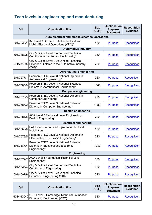# <span id="page-12-0"></span>**Tech levels in engineering and manufacturing**

| QN                          | <b>Qualification title</b>                                                                           | <b>Size</b><br>(GLH) | Qualification<br><b>Purpose</b><br><b>Statement</b> | <b>Recognition</b><br><b>Evidence</b> |
|-----------------------------|------------------------------------------------------------------------------------------------------|----------------------|-----------------------------------------------------|---------------------------------------|
|                             | Auto-electrical and mobile electrical operations                                                     |                      |                                                     |                                       |
| 601/7238/1                  | IMI Level 3 Diploma in Auto-Electrical and<br>Mobile Electrical Operations (VRQ)*                    | 450                  | <b>Purpose</b>                                      | <b>Recognition</b>                    |
|                             | <b>Automotive industry</b>                                                                           |                      |                                                     |                                       |
| 601/7382/8                  | City & Guilds Level 3 Advanced Technical<br>Certificate in the Automotive Industry*                  | 360                  | <b>Purpose</b>                                      | Recognition                           |
| 601/7383/X                  | City & Guilds Level 3 Advanced Technical<br>Extended Diploma in the Automotive Industry<br>$(720)^*$ | 720                  | <b>Purpose</b>                                      | Recognition                           |
|                             | <b>Aeronautical engineering</b>                                                                      |                      |                                                     |                                       |
| 601/7577/1                  | Pearson BTEC Level 3 National Diploma in<br>Aeronautical Engineering*                                | 720                  | <b>Purpose</b>                                      | Recognition                           |
| 601/7585/0                  | Pearson BTEC Level 3 National Extended<br>Diploma in Aeronautical Engineering*                       | 1080                 | <b>Purpose</b>                                      | <b>Recognition</b>                    |
| <b>Computer engineering</b> |                                                                                                      |                      |                                                     |                                       |
| 601/7578/3                  | Pearson BTEC Level 3 National Diploma in<br>Computer Engineering*                                    | 720                  | <b>Purpose</b>                                      | Recognition                           |
| 601/7586/2                  | Pearson BTEC Level 3 National Extended<br>Diploma in Computer Engineering*                           | 1080                 | <b>Purpose</b>                                      | <b>Recognition</b>                    |
|                             | <b>Design engineering</b>                                                                            |                      |                                                     |                                       |
| 601/7081/5                  | <b>AQA Level 3 Technical Level Engineering:</b><br>Design Engineering*                               | 720                  | <b>Purpose</b>                                      | <b>Recognition</b>                    |
|                             | <b>Electrical engineering</b>                                                                        |                      |                                                     |                                       |
| 601/4563/8                  | EAL Level 3 Advanced Diploma in Electrical<br>Installation                                           | 459                  | <b>Purpose</b>                                      | Recognition                           |
| 601/7579/5                  | Pearson BTEC Level 3 National Diploma in<br>Electrical and Electronic Engineering*                   | 720                  | <b>Purpose</b>                                      | <b>Recognition</b>                    |
| 601/7587/4                  | Pearson BTEC Level 3 National Extended<br>Diploma in Electrical and Electronic<br>Engineering*       | 1080                 | <b>Purpose</b>                                      | Recognition                           |
|                             | <b>Engineering</b>                                                                                   |                      |                                                     |                                       |
| 601/7079/7                  | <b>AQA Level 3 Foundation Technical Level</b><br>Engineering*                                        | 360                  | <b>Purpose</b>                                      | <b>Recognition</b>                    |
| 601/4535/3                  | City & Guilds Level 3 Advanced Technical<br>Certificate In Engineering                               | 360                  | <b>Purpose</b>                                      | Recognition                           |
| 601/4507/9                  | City & Guilds Level 3 Advanced Technical<br>Diploma in Engineering (540)                             | 540                  | <b>Purpose</b>                                      | Recognition                           |

| QN | <b>Qualification title</b>                                                                   | <b>Size</b><br>(GLH) | Qualification<br><b>Purpose</b><br><b>Statement</b> | <b>Recognition</b><br><b>Evidence</b> |
|----|----------------------------------------------------------------------------------------------|----------------------|-----------------------------------------------------|---------------------------------------|
|    | <b>OCR Level 3 Cambridge Technical Foundation</b><br>601/4600/X Diploma in Engineering (VRQ) | 540                  | <b>Purpose</b>                                      | Recognition                           |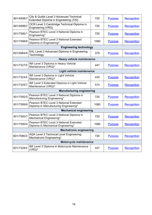| 601/4506/7                | City & Guilds Level 3 Advanced Technical<br>Extended Diploma in Engineering (720) | 720  | <b>Purpose</b> | <b>Recognition</b> |
|---------------------------|-----------------------------------------------------------------------------------|------|----------------|--------------------|
| 601/4599/7                | OCR Level 3 Cambridge Technical Diploma in<br>Engineering (VRQ)                   | 720  | <b>Purpose</b> | Recognition        |
| 601/7580/1                | Pearson BTEC Level 3 National Diploma in<br>Engineering*                          | 720  | <b>Purpose</b> | Recognition        |
| 601/7588/6                | Pearson BTEC Level 3 National Extended<br>Diploma in Engineering*                 | 1080 | <b>Purpose</b> | Recognition        |
|                           | <b>Engineering technology</b>                                                     |      |                |                    |
| 601/4564/X                | EAL Level 3 Advanced Diploma in Engineering<br>Technology                         | 375  | <b>Purpose</b> | Recognition        |
|                           | <b>Heavy vehicle maintenance</b>                                                  |      |                |                    |
| 601/7327/0                | IMI Level 3 Diploma in Heavy Vehicle<br>Maintenance (VRQ)*                        | 447  | <b>Purpose</b> | <b>Recognition</b> |
| Light vehicle maintenance |                                                                                   |      |                |                    |
| 601/7324/5                | IMI Level 3 Diploma in Light Vehicle<br>Maintenance (VRQ)*                        | 430  | <b>Purpose</b> | <b>Recognition</b> |
| 601/7325/7                | IMI Level 3 Extended Diploma in Light Vehicle<br>Maintenance (VRQ)*               | 574  | <b>Purpose</b> | Recognition        |
|                           | <b>Manufacturing engineering</b>                                                  |      |                |                    |
| 601/7582/5                | Pearson BTEC Level 3 National Diploma in<br>Manufacturing Engineering*            | 720  | <b>Purpose</b> | Recognition        |
| 601/7589/8                | Pearson BTEC Level 3 National Extended<br>Diploma in Manufacturing Engineering*   | 1080 | <b>Purpose</b> | Recognition        |
|                           | <b>Mechanical engineering</b>                                                     |      |                |                    |
| 601/7583/7                | Pearson BTEC Level 3 National Diploma in<br>Mechanical Engineering*               | 720  | <b>Purpose</b> | <b>Recognition</b> |
| 601/7590/4                | Pearson BTEC Level 3 National Extended<br>Diploma in Mechanical Engineering*      | 1080 | <b>Purpose</b> | <b>Recognition</b> |
|                           | <b>Mechatronic engineering</b>                                                    |      |                |                    |
| 601/7080/3                | AQA Level 3 Technical Level Engineering:<br>Mechatronic Engineering*              | 720  | <b>Purpose</b> | Recognition        |
|                           | Motorcycle maintenance                                                            |      |                |                    |
| 601/7328/2                | IMI Level 3 Diploma in Motorcycle Maintenance<br>$(VRQ)^*$                        | 447  | <b>Purpose</b> | Recognition        |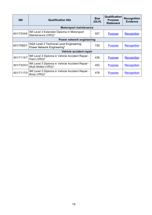| QN                        | <b>Qualification title</b>                                               | <b>Size</b><br>(GLH) | Qualification<br><b>Purpose</b><br><b>Statement</b> | <b>Recognition</b><br><b>Evidence</b> |
|---------------------------|--------------------------------------------------------------------------|----------------------|-----------------------------------------------------|---------------------------------------|
|                           | <b>Motorsport maintenance</b>                                            |                      |                                                     |                                       |
| 601/7334/8                | IMI Level 3 Extended Diploma in Motorsport<br>Maintenance (VRQ)*         | 557                  | <b>Purpose</b>                                      | <b>Recognition</b>                    |
| Power network engineering |                                                                          |                      |                                                     |                                       |
| 601/7082/7                | AQA Level 3 Technical Level Engineering:<br>Power Network Engineering*   | 720                  | <b>Purpose</b>                                      | <b>Recognition</b>                    |
| Vehicle accident repair   |                                                                          |                      |                                                     |                                       |
| 601/7115/7                | IMI Level 3 Diploma in Vehicle Accident Repair -<br>Paint (VRQ)*         | 438                  | <b>Purpose</b>                                      | <b>Recognition</b>                    |
| 601/7323/3                | IMI Level 3 Diploma in Vehicle Accident Repair -<br>Multi-Skilled (VRQ)* | 452                  | <b>Purpose</b>                                      | <b>Recognition</b>                    |
| 601/7117/0                | IMI Level 3 Diploma in Vehicle Accident Repair -<br>Body (VRQ)*          | 478                  | <b>Purpose</b>                                      | Recognition                           |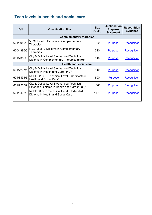## <span id="page-15-0"></span>**Tech levels in health and social care**

| QN                            | <b>Qualification title</b>                                                              | <b>Size</b><br>(GLH) | <b>Qualification</b><br><b>Purpose</b><br><b>Statement</b> | <b>Recognition</b><br><b>Evidence</b> |
|-------------------------------|-----------------------------------------------------------------------------------------|----------------------|------------------------------------------------------------|---------------------------------------|
|                               | <b>Complementary therapies</b>                                                          |                      |                                                            |                                       |
| 601/6989/8                    | VTCT Level 3 Diploma in Complementary<br>Therapies*                                     | 360                  | <b>Purpose</b>                                             | <b>Recognition</b>                    |
| 600/4895/5                    | <b>ITEC Level 3 Diploma in Complementary</b><br><b>Therapies</b>                        | 520                  | <b>Purpose</b>                                             | Recognition                           |
| 601/7355/5                    | City & Guilds Level 3 Advanced Technical<br>Diploma in Complementary Therapies (540)*   | 540                  | <b>Purpose</b>                                             | Recognition                           |
| <b>Health and social care</b> |                                                                                         |                      |                                                            |                                       |
| 601/7207/1                    | City & Guilds Level 3 Advanced Technical<br>Diploma in Health and Care (540)*           | 540                  | <b>Purpose</b>                                             | Recognition                           |
| 601/8434/6                    | NCFE CACHE Technical Level 3 Certificate in<br>Health and Social Care*                  | 600                  | <b>Purpose</b>                                             | Recognition                           |
| 601/7200/9                    | City & Guilds Level 3 Advanced Technical<br>Extended Diploma in Health and Care (1080)* | 1080                 | <b>Purpose</b>                                             | Recognition                           |
| 601/8435/8                    | <b>NCFE CACHE Technical Level 3 Extended</b><br>Diploma in Health and Social Care*      | 1170                 | <b>Purpose</b>                                             | Recognition                           |
|                               |                                                                                         |                      |                                                            |                                       |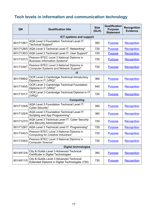# <span id="page-16-0"></span>**Tech levels in information and communication technology**

| QN                          | <b>Qualification title</b>                                                                 | <b>Size</b><br>(GLH) | Qualification<br><b>Purpose</b><br><b>Statement</b> | <b>Recognition</b><br><b>Evidence</b> |
|-----------------------------|--------------------------------------------------------------------------------------------|----------------------|-----------------------------------------------------|---------------------------------------|
|                             | <b>ICT systems and support</b>                                                             |                      |                                                     |                                       |
| 601/7126/1                  | AQA Level 3 Foundation Technical Level IT:<br><b>Technical Support*</b>                    | 360                  | <b>Purpose</b>                                      | <b>Recognition</b>                    |
| 601/7128/5                  | AQA Level 3 Technical Level IT: Networking*                                                | 720                  | <b>Purpose</b>                                      | <b>Recognition</b>                    |
| 601/7130/3                  | AQA Level 3 Technical Level IT: User Support*                                              | 720                  | <b>Purpose</b>                                      | Recognition                           |
| 601/7337/3                  | Pearson BTEC Level 3 National Diploma in<br><b>Business Information Systems*</b>           | 720                  | <b>Purpose</b>                                      | <b>Recognition</b>                    |
| 601/7339/7                  | Pearson BTEC Level 3 National Diploma in<br>Computer Systems and Network Support*          | 720                  | <b>Purpose</b>                                      | <b>Recognition</b>                    |
|                             | ΙT                                                                                         |                      |                                                     |                                       |
| 601/7099/2                  | OCR Level 3 Cambridge Technical Introductory<br>Diploma in IT (VRQ)*                       | 360                  | <b>Purpose</b>                                      | Recognition                           |
| 601/7100/5                  | OCR Level 3 Cambridge Technical Foundation<br>Diploma in IT (VRQ)*                         | 540                  | <b>Purpose</b>                                      | <b>Recognition</b>                    |
| 601/7101/7                  | OCR Level 3 Cambridge Technical Diploma in IT<br>$(VRQ)^*$                                 | 720                  | <b>Purpose</b>                                      | <b>Recognition</b>                    |
| <b>Computing</b>            |                                                                                            |                      |                                                     |                                       |
| 601/7124/8                  | AQA Level 3 Foundation Technical Level IT:<br>Cyber Security*                              | 360                  | <b>Purpose</b>                                      | <b>Recognition</b>                    |
| 601/7125/X                  | AQA Level 3 Foundation Technical Level IT:<br>Scripting and App Programming*               | 360                  | <b>Purpose</b>                                      | Recognition                           |
| 601/7127/3                  | AQA Level 3 Technical Level IT: Cyber Security<br>and Security Administration*             | 720                  | <b>Purpose</b>                                      | Recognition                           |
| 601/7129/7                  | AQA Level 3 Technical Level IT: Programming*                                               | 720                  | <b>Purpose</b>                                      | Recognition                           |
| 601/7340/3                  | Pearson BTEC Level 3 National Diploma in<br>Computing for Creative Industries*             | 720                  | <b>Purpose</b>                                      | <b>Recognition</b>                    |
| 601/7338/5                  | Pearson BTEC Level 3 National Diploma in<br>Computer Science*                              | 720                  | <b>Purpose</b>                                      | Recognition                           |
| <b>Digital technologies</b> |                                                                                            |                      |                                                     |                                       |
| 601/4513/4                  | City & Guilds Level 3 Advanced Technical<br>Certificate in Digital Technologies            | 360                  | <b>Purpose</b>                                      | Recognition                           |
| 601/4511/0                  | City & Guilds Level 3 Advanced Technical<br>Extended Diploma in Digital Technologies (720) | 720                  | <b>Purpose</b>                                      | Recognition                           |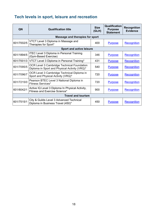## <span id="page-17-0"></span>**Tech levels in sport, leisure and recreation**

| QN                        | <b>Qualification title</b>                                                                         | <b>Size</b><br>(GLH) | <b>Qualification</b><br><b>Purpose</b><br><b>Statement</b> | <b>Recognition</b><br><b>Evidence</b> |
|---------------------------|----------------------------------------------------------------------------------------------------|----------------------|------------------------------------------------------------|---------------------------------------|
|                           | Massage and therapies for sport                                                                    |                      |                                                            |                                       |
| 601/7002/5                | VTCT Level 3 Diploma in Massage and<br>Therapies for Sport*                                        | 400                  | <b>Purpose</b>                                             | Recognition                           |
|                           | <b>Sport and active leisure</b>                                                                    |                      |                                                            |                                       |
| 601/1894/5                | <b>ITEC Level 3 Diploma in Personal Training</b><br>(Gym-Based Exercise)                           | 346                  | <b>Purpose</b>                                             | Recognition                           |
| 601/7001/3                | VTCT Level 3 Diploma in Personal Training*                                                         | 431                  | <b>Purpose</b>                                             | <b>Recognition</b>                    |
| 601/7095/5                | <b>OCR Level 3 Cambridge Technical Foundation</b><br>Diploma in Sport and Physical Activity (VRQ)* | 540                  | <b>Purpose</b>                                             | Recognition                           |
| 601/7096/7                | OCR Level 3 Cambridge Technical Diploma in<br>Sport and Physical Activity (VRQ)*                   | 720                  | <b>Purpose</b>                                             | <b>Recognition</b>                    |
| 601/7215/0                | Pearson BTEC Level 3 National Diploma in<br><b>Fitness Services*</b>                               | 720                  | <b>Purpose</b>                                             | Recognition                           |
| 601/6042/1                | Active IQ Level 3 Diploma In Physical Activity,<br>Fitness and Exercise Science*                   | 900                  | <b>Purpose</b>                                             | Recognition                           |
| <b>Travel and tourism</b> |                                                                                                    |                      |                                                            |                                       |
| 601/7515/1                | City & Guilds Level 3 Advanced Technical<br>Diploma in Business Travel (450)*                      | 450                  | <b>Purpose</b>                                             | Recognition                           |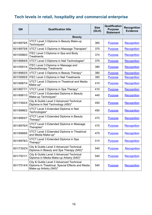## <span id="page-18-0"></span>**Tech levels in retail, hospitality and commercial enterprise**

| QN         | <b>Qualification title</b>                                                                                              | <b>Size</b><br>(GLH) | Qualification<br><b>Purpose</b><br><b>Statement</b> | <b>Recognition</b><br><b>Evidence</b> |
|------------|-------------------------------------------------------------------------------------------------------------------------|----------------------|-----------------------------------------------------|---------------------------------------|
|            | <b>Beauty</b>                                                                                                           |                      |                                                     |                                       |
| 601/6979/5 | VTCT Level 3 Diploma in Beauty Make-up<br>Techniques*                                                                   | 365                  | <b>Purpose</b>                                      | Recognition                           |
| 601/6975/8 | VTCT Level 3 Diploma in Massage Therapies*                                                                              | 370                  | <b>Purpose</b>                                      | <b>Recognition</b>                    |
| 601/0586/0 | <b>ITEC Level 3 Diploma in Spa and Body</b><br><b>Treatments</b>                                                        | 374                  | <b>Purpose</b>                                      | Recognition                           |
| 601/6984/9 | VTCT Level 3 Diploma in Nail Technologies*                                                                              | 375                  | <b>Purpose</b>                                      | <b>Recognition</b>                    |
| 601/0591/4 | <b>ITEC Level 3 Diploma in Massage and</b><br><b>Electrotherapy Treatments</b>                                          | 380                  | <b>Purpose</b>                                      | <b>Recognition</b>                    |
| 601/6982/5 | VTCT Level 3 Diploma in Beauty Therapy*                                                                                 | 380                  | <b>Purpose</b>                                      | <b>Recognition</b>                    |
| 601/0585/9 | <b>ITEC Level 3 Diploma in Nail Treatments</b>                                                                          | 385                  | <b>Purpose</b>                                      | Recognition                           |
| 601/6987/4 | VTCT Level 3 Diploma in Theatrical and Media<br>Make-up*                                                                | 410                  | <b>Purpose</b>                                      | Recognition                           |
| 601/6977/1 | VTCT Level 3 Diploma in Spa Therapy*                                                                                    | 410                  | <b>Purpose</b>                                      | <b>Recognition</b>                    |
| 601/6981/3 | VTCT Level 3 Extended Diploma in Beauty<br>Make-up Techniques*                                                          | 440                  | <b>Purpose</b>                                      | Recognition                           |
| 601/7492/4 | City & Guilds Level 3 Advanced Technical<br>Diploma in Nail Technology (450)*                                           | 450                  | <b>Purpose</b>                                      | <b>Recognition</b>                    |
| 601/6986/2 | VTCT Level 3 Extended Diploma in Nail<br>Technologies*                                                                  | 450                  | <b>Purpose</b>                                      | Recognition                           |
| 601/6983/7 | VTCT Level 3 Extended Diploma in Beauty<br>Therapy*                                                                     | 470                  | <b>Purpose</b>                                      | Recognition                           |
| 601/6976/X | VTCT Level 3 Extended Diploma in Massage<br>Therapies*                                                                  | 475                  | <b>Purpose</b>                                      | Recognition                           |
| 601/6988/6 | <b>VTCT Level 3 Extended Diploma in Theatrical</b><br>and Media Make-up*                                                | 475                  | <b>Purpose</b>                                      | Recognition                           |
| 601/6978/3 | VTCT Level 3 Extended Diploma in Spa<br>Therapy*                                                                        | 515                  | <b>Purpose</b>                                      | Recognition                           |
| 601/7352/X | City & Guilds Level 3 Advanced Technical<br>Diploma in Beauty and Spa Therapy (540)*                                    | 540                  | <b>Purpose</b>                                      | Recognition                           |
| 601/7501/1 | City & Guilds Level 3 Advanced Technical<br>Diploma in Media Make-up Artistry (540)*                                    | 540                  | <b>Purpose</b>                                      | Recognition                           |
| 601/7514/X | City & Guilds Level 3 Advanced Technical<br>Diploma in Theatrical, Special Effects and Media<br>Make-up Artistry (540)* | 540                  | <b>Purpose</b>                                      | Recognition                           |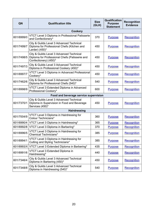| QN         | <b>Qualification title</b>                                                                                          | <b>Size</b><br>(GLH) | <b>Qualification</b><br><b>Purpose</b><br><b>Statement</b> | <b>Recognition</b><br><b>Evidence</b> |
|------------|---------------------------------------------------------------------------------------------------------------------|----------------------|------------------------------------------------------------|---------------------------------------|
|            | Cookery                                                                                                             |                      |                                                            |                                       |
| 601/6999/0 | VTCT Level 3 Diploma in Professional Patisserie<br>and Confectionery*                                               | 370                  | <b>Purpose</b>                                             | Recognition                           |
| 601/7499/7 | City & Guilds Level 3 Advanced Technical<br>Diploma for Professional Chefs (Kitchen and<br>Larder) (450)*           | 450                  | <b>Purpose</b>                                             | Recognition                           |
| 601/7498/5 | City & Guilds Level 3 Advanced Technical<br>Diploma for Professional Chefs (Patisserie and<br>Confectionery) (450)* | 450                  | <b>Purpose</b>                                             | Recognition                           |
| 601/7497/3 | City & Guilds Level 3 Advanced Technical<br>Diploma in Professional Cookery (450)*                                  | 450                  | <b>Purpose</b>                                             | Recognition                           |
| 601/6997/7 | VTCT Level 3 Diploma in Advanced Professional<br>Cookery*                                                           | 450                  | <b>Purpose</b>                                             | <b>Recognition</b>                    |
| 601/7462/6 | City & Guilds Level 3 Advanced Technical<br>Diploma for Professional Chefs (540)*                                   | 540                  | <b>Purpose</b>                                             | Recognition                           |
| 601/6998/9 | VTCT Level 3 Extended Diploma in Advanced<br>Professional Cookery*                                                  | 600                  | <b>Purpose</b>                                             | <b>Recognition</b>                    |
|            | Food and beverage service supervision                                                                               |                      |                                                            |                                       |
| 601/7370/1 | City & Guilds Level 3 Advanced Technical<br>Diploma in Supervision in Food and Beverage<br>Services (450)*          | 450                  | <b>Purpose</b>                                             | <b>Recognition</b>                    |
|            | <b>Hairdressing</b>                                                                                                 |                      |                                                            |                                       |
| 601/7004/9 | VTCT Level 3 Diploma in Hairdressing for<br>Colour Technicians*                                                     | 360                  | <b>Purpose</b>                                             | Recognition                           |
| 601/6990/4 | VTCT Level 3 Diploma in Hairdressing*                                                                               | 365                  | <b>Purpose</b>                                             | <b>Recognition</b>                    |
| 601/6992/8 | VTCT Level 3 Diploma in Barbering*                                                                                  | 370                  | <b>Purpose</b>                                             | <b>Recognition</b>                    |
| 601/6996/5 | VTCT Level 3 Diploma in Hairdressing for<br><b>Chemical Technicians*</b>                                            | 385                  | <b>Purpose</b>                                             | Recognition                           |
| 601/6994/1 | VTCT Level 3 Diploma in Hairdressing for<br>Cutting and Styling Technicians*                                        | 385                  | <b>Purpose</b>                                             | Recognition                           |
| 601/6993/X | VTCT Level 3 Extended Diploma in Barbering*                                                                         | 435                  | <b>Purpose</b>                                             | Recognition                           |
| 601/6991/6 | VTCT Level 3 Extended Diploma in<br>Hairdressing*                                                                   | 440                  | <b>Purpose</b>                                             | <b>Recognition</b>                    |
| 601/7346/4 | City & Guilds Level 3 Advanced Technical<br>Diploma in Barbering (450)*                                             | 450                  | <b>Purpose</b>                                             | Recognition                           |
| 601/7348/8 | City & Guilds Level 3 Advanced Technical<br>Diploma in Hairdressing (540)*                                          | 540                  | <b>Purpose</b>                                             | Recognition                           |